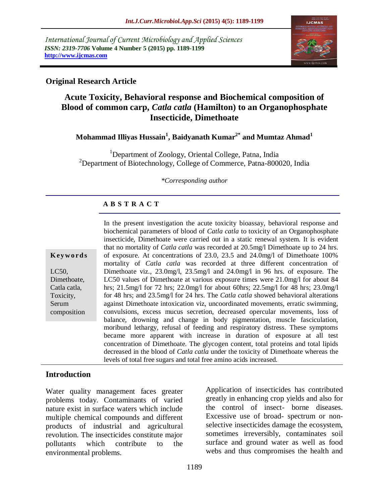*International Journal of Current Microbiology and Applied Sciences ISSN: 2319-7706* **Volume 4 Number 5 (2015) pp. 1189-1199 http://www.ijcmas.com** 



### **Original Research Article**

# **Acute Toxicity, Behavioral response and Biochemical composition of Blood of common carp,** *Catla catla* **(Hamilton) to an Organophosphate Insecticide, Dimethoate**

### **Mohammad Illiyas Hussain<sup>1</sup> , Baidyanath Kumar2\* and Mumtaz Ahmad<sup>1</sup>**

<sup>1</sup>Department of Zoology, Oriental College, Patna, India  $2$ Department of Biotechnology, College of Commerce, Patna-800020, India

#### *\*Corresponding author*

### **A B S T R A C T**

In the present investigation the acute toxicity bioassay, behavioral response and biochemical parameters of blood of *Catla catla* to toxicity of an Organophosphate insecticide, Dimethoate were carried out in a static renewal system. It is evident that no mortality of *Catla catla* was recorded at 20.5mg/l Dimethoate up to 24 hrs. of exposure. At concentrations of 23.0, 23.5 and 24.0mg/l of Dimethoate 100% mortality of *Catla catla* was recorded at three different concentration of Dimethoate viz., 23.0mg/l, 23.5mg/l and 24.0mg/l in 96 hrs. of exposure. The LC50 values of Dimethoate at various exposure times were 21.0mg/l for about 84 hrs; 21.5mg/l for 72 hrs; 22.0mg/l for about 60hrs; 22.5mg/l for 48 hrs; 23.0mg/l for 48 hrs; and 23.5mg/l for 24 hrs. The *Catla catla* showed behavioral alterations against Dimethoate intoxication viz, uncoordinated movements, erratic swimming, convulsions, excess mucus secretion, decreased opercular movements, loss of balance, drowning and change in body pigmentation, muscle fasciculation, moribund lethargy, refusal of feeding and respiratory distress. These symptoms became more apparent with increase in duration of exposure at all test concentration of Dimethoate. The glycogen content, total proteins and total lipids decreased in the blood of *Catla catla* under the toxicity of Dimethoate whereas the levels of total free sugars and total free amino acids increased.

#### **Introduction**

**K ey w o rd s**

LC50, Dimethoate, Catla catla, Toxicity, Serum composition

Water quality management faces greater problems today. Contaminants of varied nature exist in surface waters which include multiple chemical compounds and different products of industrial and agricultural revolution. The insecticides constitute major pollutants which contribute to the environmental problems.

Application of insecticides has contributed greatly in enhancing crop yields and also for the control of insect- borne diseases. Excessive use of broad- spectrum or nonselective insecticides damage the ecosystem, sometimes irreversibly, contaminates soil surface and ground water as well as food webs and thus compromises the health and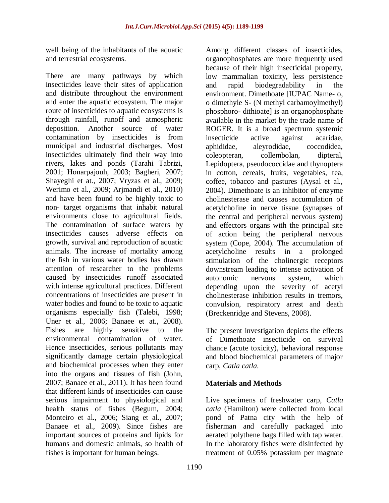well being of the inhabitants of the aquatic and terrestrial ecosystems.

There are many pathways by which insecticides leave their sites of application and distribute throughout the environment and enter the aquatic ecosystem. The major route of insecticides to aquatic ecosystems is through rainfall, runoff and atmospheric deposition. Another source of water contamination by insecticides is from municipal and industrial discharges. Most insecticides ultimately find their way into rivers, lakes and ponds (Tarahi Tabrizi, 2001; Honarpajouh, 2003; Bagheri, 2007; Shayeghi et at., 2007; Vryzas et al., 2009; Werimo et al., 2009; Arjmandi et al., 2010) and have been found to be highly toxic to non- target organisms that inhabit natural environments close to agricultural fields. The contamination of surface waters by insecticides causes adverse effects on growth, survival and reproduction of aquatic animals. The increase of mortality among the fish in various water bodies has drawn attention of researcher to the problems caused by insecticides runoff associated with intense agricultural practices. Different concentrations of insecticides are present in water bodies and found to be toxic to aquatic organisms especially fish (Talebi, 1998; Uner et al., 2006; Banaee et at., 2008). Fishes are highly sensitive to the environmental contamination of water. Hence insecticides, serious pollutants may significantly damage certain physiological and biochemical processes when they enter into the organs and tissues of fish (John, 2007; Banaee et al., 2011). It has been found that different kinds of insecticides can cause serious impairment to physiological and health status of fishes (Begum, 2004; Monteiro et al., 2006; Siang et al., 2007; Banaee et al., 2009). Since fishes are important sources of proteins and lipids for humans and domestic animals, so health of fishes is important for human beings.

Among different classes of insecticides, organophosphates are more frequently used because of their high insecticidal property, low mammalian toxicity, less persistence and rapid biodegradability in the environment. Dimethoate [IUPAC Name- o, o dimethyle S- (N methyl carbamoylmethyl) phosphoro- dithioate] is an organophosphate available in the market by the trade name of ROGER. It is a broad spectrum systemic insecticide active against acaridae, aphididae, aleyrodidae, coccodidea, coleopteran, collembolan, dipteral, Lepidoptera, pseudococcidae and thynoptera in cotton, cereals, fruits, vegetables, tea, coffee, tobacco and pastures (Aysal et al., 2004). Dimethoate is an inhibitor of enzyme cholinesterase and causes accumulation of acetylcholine in nerve tissue (synapses of the central and peripheral nervous system) and effectors organs with the principal site of action being the peripheral nervous system (Cope, 2004). The accumulation of acetylcholine results in a prolonged stimulation of the cholinergic receptors downstream leading to intense activation of autonomic nervous system, which depending upon the severity of acetyl cholinesterase inhibition results in tremors, convulsion, respiratory arrest and death (Breckenridge and Stevens, 2008).

The present investigation depicts the effects of Dimethoate insecticide on survival chance (acute toxicity), behavioral response and blood biochemical parameters of major carp, *Catla catla*.

#### **Materials and Methods**

Live specimens of freshwater carp, *Catla catla* (Hamilton) were collected from local pond of Patna city with the help of fisherman and carefully packaged into aerated polythene bags filled with tap water. In the laboratory fishes were disinfected by treatment of 0.05% potassium per magnate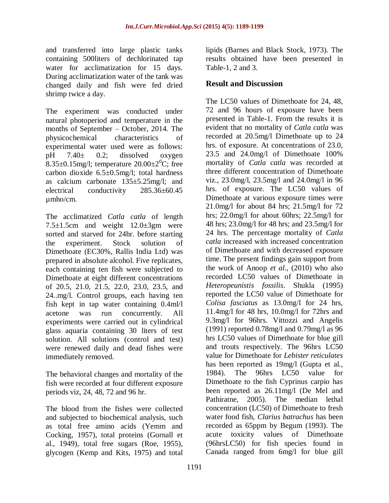and transferred into large plastic tanks containing 500liters of dechlorinated tap water for acclimatization for 15 days. During acclimatization water of the tank was changed daily and fish were fed dried shrimp twice a day.

The experiment was conducted under natural photoperiod and temperature in the months of September – October, 2014. The physicochemical characteristics of experimental water used were as follows:  $pH$  7.40 $\pm$  0.2; dissolved oxygen 8.35 $\pm$ 0.15mg/l; temperature 20.00 $\pm$ 2<sup>0</sup>C; free carbon dioxide 6.5±0.5mg/l; total hardness as calcium carbonate 135±5.25mg/l; and electrical conductivity 285.36±60.45 µmho/cm.

The acclimatized *Catla catla* of length 7.5±1.5cm and weight 12.0±3gm were sorted and starved for 24hr. before starting the experiment. Stock solution of Dimethoate (EC30%, Rallis India Ltd) was prepared in absolute alcohol. Five replicates, each containing ten fish were subjected to Dimethoate at eight different concentrations of 20.5, 21.0, 21.5, 22.0, 23.0, 23.5, and 24..mg/l. Control groups, each having ten fish kept in tap water containing 0.4ml/l acetone was run concurrently. All experiments were carried out in cylindrical glass aquaria containing 30 liters of test solution. All solutions (control and test) were renewed daily and dead fishes were immediately removed.

The behavioral changes and mortality of the fish were recorded at four different exposure periods viz, 24, 48, 72 and 96 hr.

The blood from the fishes were collected and subjected to biochemical analysis, such as total free amino acids (Yemm and Cocking, 1957), total proteins (Gornall et al., 1949), total free sugars (Roe, 1955), glycogen (Kemp and Kits, 1975) and total

lipids (Barnes and Black Stock, 1973). The results obtained have been presented in Table-1, 2 and 3.

## **Result and Discussion**

The LC50 values of Dimethoate for 24, 48, 72 and 96 hours of exposure have been presented in Table-1. From the results it is evident that no mortality of *Catla catla* was recorded at 20.5mg/l Dimethoate up to 24 hrs. of exposure. At concentrations of 23.0, 23.5 and 24.0mg/l of Dimethoate 100% mortality of *Catla catla* was recorded at three different concentration of Dimethoate viz., 23.0mg/l, 23.5mg/l and 24.0mg/l in 96 hrs. of exposure. The LC50 values of Dimethoate at various exposure times were 21.0mg/l for about 84 hrs; 21.5mg/l for 72 hrs; 22.0mg/l for about 60hrs; 22.5mg/l for 48 hrs; 23.0mg/l for 48 hrs; and 23.5mg/l for 24 hrs. The percentage mortality of *Catla catla* increased with increased concentration of Dimethoate and with decreased exposure time. The present findings gain support from the work of Anoop *et al*., (2010) who also recorded LC50 values of Dimethoate in *Heteropeunistis fossilis*. Shukla (1995) reported the LC50 value of Dimethoate for *Colisa fasciatus* as 13.0mg/l for 24 hrs, 11.4mg/l for 48 hrs, 10.0mg/l for 72hrs and 9.3mg/l for 96hrs. Vittozzi and Angelis (1991) reported 0.78mg/l and 0.79mg/l as 96 hrs LC50 values of Dimethoate for blue gill and trouts respectively. The 96hrs LC50 value for Dimethoate for *Lebister reticulates* has been reported as 19mg/l (Gupta et al., 1984). The 96hrs LC50 value for Dimethoate to the fish Cyprinus carpio has been reported as 26.11mg/l (De Mel and Pathiratne, 2005). The median lethal concentration (LC50) of Dimethoate to fresh water food fish, *Clarius batrachus* has been recorded as 65ppm by Begum (1993). The acute toxicity values of Dimethoate (96hrsLC50) for fish species found in Canada ranged from 6mg/l for blue gill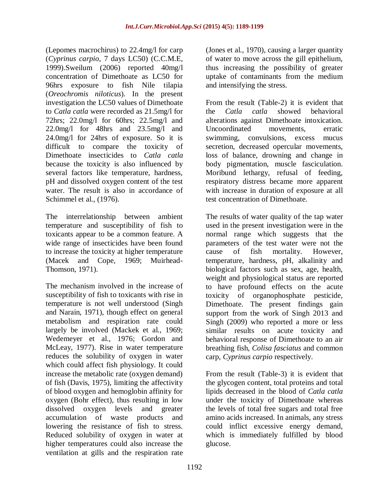(Lepomes macrochirus) to 22.4mg/l for carp (*Cyprinus carpio*, 7 days LC50) (C.C.M.E, 1999).Sweilum (2006) reported 40mg/l concentration of Dimethoate as LC50 for 96hrs exposure to fish Nile tilapia (*Oreochromis niloticus*). In the present investigation the LC50 values of Dimethoate to *Catla catla* were recorded as 21.5mg/l for 72hrs; 22.0mg/l for 60hrs; 22.5mg/l and 22.0mg/l for 48hrs and 23.5mg/l and 24.0mg/l for 24hrs of exposure. So it is difficult to compare the toxicity of Dimethoate insecticides to *Catla catla* because the toxicity is also influenced by several factors like temperature, hardness, pH and dissolved oxygen content of the test water. The result is also in accordance of Schimmel et al., (1976).

The interrelationship between ambient temperature and susceptibility of fish to toxicants appear to be a common feature. A wide range of insecticides have been found to increase the toxicity at higher temperature (Macek and Cope, 1969; Muirhead-Thomson, 1971).

The mechanism involved in the increase of susceptibility of fish to toxicants with rise in temperature is not well understood (Singh and Narain, 1971), though effect on general metabolism and respiration rate could largely be involved (Mackek et al., 1969; Wedemeyer et al., 1976; Gordon and McLeay, 1977). Rise in water temperature reduces the solubility of oxygen in water which could affect fish physiology. It could increase the metabolic rate (oxygen demand) of fish (Davis, 1975), limiting the affectivity of blood oxygen and hemoglobin affinity for oxygen (Bohr effect), thus resulting in low dissolved oxygen levels and greater accumulation of waste products and lowering the resistance of fish to stress. Reduced solubility of oxygen in water at higher temperatures could also increase the ventilation at gills and the respiration rate

(Jones et al., 1970), causing a larger quantity of water to move across the gill epithelium, thus increasing the possibility of greater uptake of contaminants from the medium and intensifying the stress.

From the result (Table-2) it is evident that the *Catla catla* showed behavioral alterations against Dimethoate intoxication. Uncoordinated movements, erratic swimming, convulsions, excess mucus secretion, decreased opercular movements, loss of balance, drowning and change in body pigmentation, muscle fasciculation. Moribund lethargy, refusal of feeding, respiratory distress became more apparent with increase in duration of exposure at all test concentration of Dimethoate.

The results of water quality of the tap water used in the present investigation were in the normal range which suggests that the parameters of the test water were not the cause of fish mortality. However, temperature, hardness, pH, alkalinity and biological factors such as sex, age, health, weight and physiological status are reported to have profound effects on the acute toxicity of organophosphate pesticide, Dimethoate. The present findings gain support from the work of Singh 2013 and Singh (2009) who reported a more or less similar results on acute toxicity and behavioral response of Dimethoate to an air breathing fish, *Colisa fasciatus* and common carp, *Cyprinus carpio* respectively.

From the result (Table-3) it is evident that the glycogen content, total proteins and total lipids decreased in the blood of *Catla catla*  under the toxicity of Dimethoate whereas the levels of total free sugars and total free amino acids increased. In animals, any stress could inflict excessive energy demand, which is immediately fulfilled by blood glucose.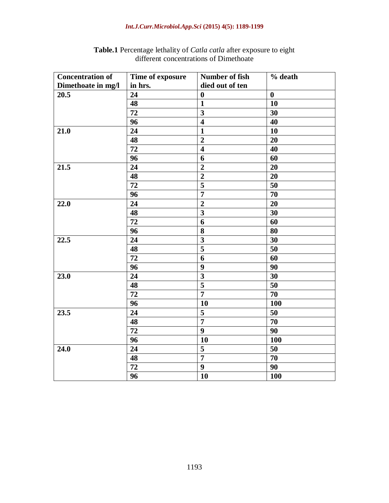### *Int.J.Curr.Microbiol.App.Sci* **(2015) 4(5): 1189-1199**

| <b>Concentration of</b> | Time of exposure | Number of fish          | % death          |
|-------------------------|------------------|-------------------------|------------------|
| Dimethoate in mg/l      | in hrs.          | died out of ten         |                  |
| 20.5                    | 24               | $\boldsymbol{0}$        | $\boldsymbol{0}$ |
|                         | $\overline{48}$  | $\mathbf{1}$            | 10               |
|                         | $\overline{72}$  | $\overline{\mathbf{3}}$ | 30               |
|                         | 96               | $\overline{\mathbf{4}}$ | 40               |
| 21.0                    | 24               | $\mathbf{1}$            | 10               |
|                         | 48               | $\overline{2}$          | 20               |
|                         | 72               | $\overline{\mathbf{4}}$ | 40               |
|                         | 96               | 6                       | 60               |
| 21.5                    | 24               | $\overline{2}$          | 20               |
|                         | 48               | $\overline{2}$          | 20               |
|                         | 72               | 5                       | 50               |
|                         | 96               | $\overline{7}$          | 70               |
| 22.0                    | 24               | $\overline{2}$          | 20               |
|                         | 48               | $\overline{\mathbf{3}}$ | 30               |
|                         | 72               | 6                       | 60               |
|                         | 96               | 8                       | 80               |
| 22.5                    | 24               | $\overline{\mathbf{3}}$ | 30               |
|                         | 48               | $\overline{\mathbf{5}}$ | 50               |
|                         | 72               | 6                       | 60               |
|                         | 96               | $\boldsymbol{9}$        | 90               |
| 23.0                    | 24               | $\overline{\mathbf{3}}$ | 30               |
|                         | 48               | $\overline{5}$          | 50               |
|                         | 72               | $\overline{7}$          | 70               |
|                         | 96               | 10                      | 100              |
| 23.5                    | 24               | 5                       | 50               |
|                         | 48               | $\overline{7}$          | 70               |
|                         | 72               | 9                       | 90               |
|                         | 96               | 10                      | 100              |
| 24.0                    | 24               | 5                       | 50               |
|                         | 48               | $\overline{7}$          | 70               |
|                         | 72               | 9                       | 90               |
|                         | 96               | 10                      | 100              |

**Table.1** Percentage lethality of *Catla catla* after exposure to eight different concentrations of Dimethoate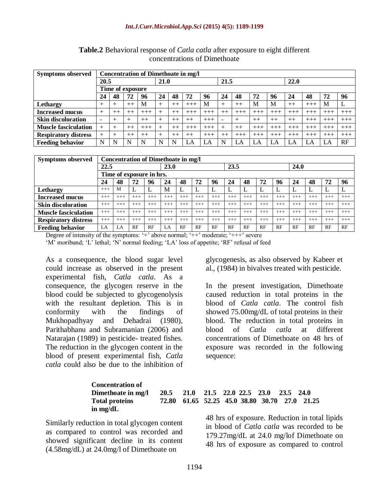| <b>Symptoms observed</b>    | Concentration of Dimethoate in mg/l |         |        |       |    |         |       |       |                          |        |          |       |       |          |       |       |
|-----------------------------|-------------------------------------|---------|--------|-------|----|---------|-------|-------|--------------------------|--------|----------|-------|-------|----------|-------|-------|
|                             | 20.5                                |         |        | 21.0  |    |         | 21.5  |       |                          |        | 22.0     |       |       |          |       |       |
|                             | Time of exposure                    |         |        |       |    |         |       |       |                          |        |          |       |       |          |       |       |
|                             | 24                                  | 48      | 72     | 96    | 24 | 48      | 72    | 96    | 24                       | 48     | 72       | 96    | 24    | 48       | 72    | 96    |
| Lethargy                    | $^+$                                | $^+$    | $++$   | M     |    | $^{++}$ | $+++$ | M     | $^+$                     | $++$   | M        | M     | $++$  | $+++$    | M     |       |
| <b>Increased mucus</b>      | $^{+}$                              | $^{++}$ | $++$   | $+++$ | ┷  | $++$    | $+++$ | $+++$ | $++$                     | $+++$  | $+++$    | $+++$ | $+++$ | $+++$    | $+++$ | $+++$ |
| <b>Skin discoloration</b>   | $\overline{\phantom{0}}$            | $^{+}$  | $^{+}$ | $++$  |    | $++$    | $++$  | $+++$ | $\overline{\phantom{0}}$ | $^{+}$ | $++$     | $++$  | $++$  | $+++$    | $+++$ | $+++$ |
| <b>Muscle fasciculation</b> | $^+$                                |         | $++$   | $+++$ |    | $++$    | $+++$ | $+++$ | $^+$                     | $++$   | $+++$    | $+++$ | $+++$ | $+++$    | $+++$ | $+++$ |
| <b>Respiratory distress</b> |                                     |         | $++$   | $++$  |    | $++$    | $++$  | $+++$ | $++$                     | $+++$  | $^{+++}$ | $+++$ | $+++$ | $^{+++}$ | $+++$ | $+++$ |
| <b>Feeding behavior</b>     | N                                   |         | N      | N     | N  | N       | LA    | LA    | N                        | LA     | LA       | LA    | LA    | LA       | LA    | RF    |

**Table.2** Behavioral response of *Catla catla* after exposure to eight different concentrations of Dimethoate

| <b>Symptoms observed</b>    | Concentration of Dimethoate in mg/l |       |       |          |       |       |       |       |       |       |       |       |          |          |          |       |
|-----------------------------|-------------------------------------|-------|-------|----------|-------|-------|-------|-------|-------|-------|-------|-------|----------|----------|----------|-------|
|                             | 22.5                                |       |       | 23.0     |       |       | 23.5  |       |       |       | 24.0  |       |          |          |          |       |
|                             | Time of exposure in hrs.            |       |       |          |       |       |       |       |       |       |       |       |          |          |          |       |
|                             | 24                                  | 48    | 72    | 96       | 24    | 48    | 72    | 96    | 24    | 48    | 72    | 96    | 24       | 48       | 72       | 96    |
| Lethargy                    | $+++$                               | M     | п.    |          | M     | ட     | ┺     | ⊥     | ⊥     |       |       |       |          | L        | ⊥        | L     |
| <b>Increased mucus</b>      | $+++$                               | $+++$ | $+++$ | $+++$    | $+++$ | $+++$ | $+++$ | $+++$ | $+++$ | $+++$ | $+++$ | $+++$ | $^{+++}$ | $^{+++}$ | $^{+++}$ | $+++$ |
| <b>Skin discoloration</b>   | $+++$                               | $+++$ | $+++$ | $+++$    | $+++$ | $+++$ | $+++$ | $+++$ | $+++$ | $+++$ | $+++$ | $+++$ | $+++$    | $^{+++}$ | $+++$    | $+++$ |
| <b>Muscle fasciculation</b> | $+++$                               | $+++$ | $+++$ | $+++$    | $+++$ | $+++$ | $+++$ | $+++$ | $+++$ | $+++$ | $+++$ | $+++$ | $^{+++}$ | $+++$    | $^{+++}$ | $+++$ |
| <b>Respiratory distress</b> | $+++$                               | $+++$ | $+++$ | $^{+++}$ | $+++$ | $+++$ | $+++$ | $+++$ | $+++$ | $+++$ | $+++$ | $+++$ | $^{+++}$ | $+++$    | $^{+++}$ | $+++$ |
| <b>Feeding behavior</b>     | LA                                  | LA    | RF    | RF       | LA.   | RF    | RF    | RF    | RF    | RF    | RF    | RF    | RF       | RF       | RF       | RF    |

Degree of intensity of the symptoms: '+' above normal; ' $++$ ' moderate; ' $++$ ' severe 'M' moribund; 'L' lethal; 'N' normal feeding; 'LA' loss of appetite; 'RF' refusal of feed

As a consequence, the blood sugar level could increase as observed in the present experimental fish, *Catla catla*. As a consequence, the glycogen reserve in the blood could be subjected to glycogenolysis with the resultant depletion. This is in conformity with the findings of Mukhopadhyay and Dehadrai (1980), Parithabhanu and Subramanian (2006) and Natarajan (1989) in pesticide- treated fishes. The reduction in the glycogen content in the blood of present experimental fish, *Catla catla* could also be due to the inhibition of

glycogenesis, as also observed by Kabeer et al., (1984) in bivalves treated with pesticide.

In the present investigation, Dimethoate caused reduction in total proteins in the blood of *Catla catla*. The control fish showed 75.00mg/dL of total proteins in their blood. The reduction in total proteins in blood of *Catla catla* at different concentrations of Dimethoate on 48 hrs of exposure was recorded in the following sequence:

| <b>Concentration of</b> |                                         |  |  |  |                                               |
|-------------------------|-----------------------------------------|--|--|--|-----------------------------------------------|
| Dimethoate in mg/l      | 20.5 21.0 21.5 22.0 22.5 23.0 23.5 24.0 |  |  |  |                                               |
| <b>Total proteins</b>   |                                         |  |  |  | 72.80 61.65 52.25 45.0 38.80 30.70 27.0 21.25 |
| in mg/dL                |                                         |  |  |  |                                               |

Similarly reduction in total glycogen content as compared to control was recorded and showed significant decline in its content (4.58mg/dL) at 24.0mg/l of Dimethoate on

48 hrs of exposure. Reduction in total lipids in blood of *Catla catla* was recorded to be 179.27mg/dL at 24.0 mg/lof Dimethoate on 48 hrs of exposure as compared to control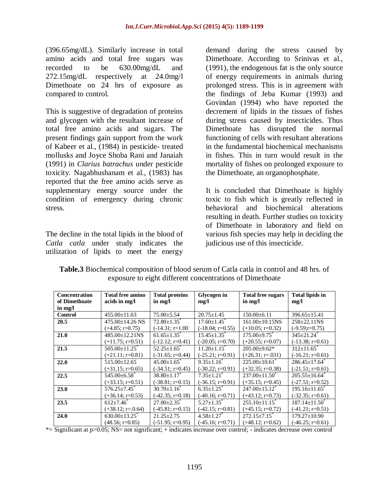(396.65mg/dL). Similarly increase in total amino acids and total free sugars was recorded to be 630.00mg/dL and 272.15mg/dL respectively at 24.0mg/l Dimethoate on 24 hrs of exposure as compared to control.

This is suggestive of degradation of proteins and glycogen with the resultant increase of total free amino acids and sugars. The present findings gain support from the work of Kabeer et al., (1984) in pesticide- treated mollusks and Joyce Shoba Rani and Janaiah (1991) in *Clarius batrachus* under pesticide toxicity. Nagabhushanam et al., (1983) has reported that the free amino acids serve as supplementary energy source under the condition of emergency during chronic stress.

The decline in the total lipids in the blood of *Catla catla* under study indicates the utilization of lipids to meet the energy

demand during the stress caused by Dimethoate. According to Srinivas et al., (1991), the endogenous fat is the only source of energy requirements in animals during prolonged stress. This is in agreement with the findings of Jeba Kumar (1993) and Govindan (1994) who have reported the decrement of lipids in the tissues of fishes during stress caused by insecticides. Thus Dimethoate has disrupted the normal functioning of cells with resultant alterations in the fundamental biochemical mechanisms in fishes. This in turn would result in the mortality of fishes on prolonged exposure to the Dimethoate, an organophosphate.

It is concluded that Dimethoate is highly toxic to fish which is greatly reflected in behavioral and biochemical alterations resulting in death. Further studies on toxicity of Dimethoate in laboratory and field on various fish species may help in deciding the judicious use of this insecticide.

| <b>Concentration</b><br>of Dimethoate | <b>Total free amino</b><br>acids in mg/l | <b>Total proteins</b><br>in mg/l | <b>Glycogen</b> in<br>mg/l    | <b>Total free sugars</b><br>in mg/l | <b>Total lipids in</b><br>mg/l  |
|---------------------------------------|------------------------------------------|----------------------------------|-------------------------------|-------------------------------------|---------------------------------|
| in mg/l                               |                                          |                                  |                               |                                     |                                 |
| <b>Control</b>                        | $455.00 \pm 11.63$                       | $75.00 \pm 5.54$                 | $20.75 \pm 1.45$              | $150.00 \pm 6.11$                   | $396.65 \pm 15.41$              |
| 20.5                                  | $475.00 \pm 14.26$ NS                    | $72.80 \pm 1.35$ <sup>*</sup>    | $17.60 \pm 1.45$ <sup>*</sup> | $161.00\pm10.15$ NS                 | $258+22.11$ NS                  |
|                                       | $(+4.85; r=0.75)$                        | $(-14.31; r=1.00)$               | $(-18.04; r=0.55)$            | $(+10.05; r=0.32)$                  | $(-9.59x=0.75)$                 |
| 21.0                                  | $485.00 \pm 12.21$ NS                    | $61.65 \pm 1.35$ <sup>*</sup>    | $15.45 \pm 1.35$ <sup>*</sup> | $175.00 \pm 9.75$                   | $345 \pm 21.24$ <sup>*</sup>    |
|                                       | $(+11.75; r=0.51)$                       | $(-12.12; r=0.41)$               | $(-20.05; r=0.70)$            | $(+20.55; r=0.07)$                  | $(-13.38; r=0.61)$              |
| 21.5                                  | $505.00 \pm 11.25$                       | $52.25 \pm 1.65$ <sup>*</sup>    | $11.20 + 1.15$ <sup>*</sup>   | $205.00 \pm 9.62$ *                 | $312 \pm 11.65$ <sup>*</sup>    |
|                                       | $(+21.11; r=0.81)$                       | $(-31.65; r=0.44)$               | $(-25.21; r=0.91)$            | $(+26.31; r=.031)$                  | $(-16.21; r=0.61)$              |
| 22.0                                  | $515.00 \pm 12.65$                       | $45.00 + 1.65$                   | $9.35 + 1.16^*$               | $225.00+10.61^*$                    | $286.45+17.64$ <sup>*</sup>     |
|                                       | $(+31.15; r=0.65)$                       | $(-34.51; r=0.45)$               | $(-30.22; r=0.91)$            | $(+32.35; r=0.38)$                  | $(-21.51; r=0.61)$              |
| 22.5                                  | $545.00 \pm 6.58$                        | $38.80 + 1.17$ <sup>*</sup>      | $7.35 + 1.21$ <sup>*</sup>    | $237.00 \pm 11.50^{\circ}$          | $205.55 \pm 16.64$ <sup>*</sup> |
|                                       | $(+33.15; r=0.51)$                       | $(-38.81; r=0.15)$               | $(-36.15; r=0.91)$            | $(+35.15; r=0.45)$                  | $(-27.51; r=0.52)$              |
| 23.0                                  | $576.25 \pm 7.45$ <sup>*</sup>           | $30.70 \pm 1.16^*$               | $6.35 \pm 1.25$ <sup>*</sup>  | $247.00 \pm 15.12$ <sup>*</sup>     | $195.16 \pm 11.65$ <sup>*</sup> |
|                                       | $(+36.14; r=0.53)$                       | $(-42.35; r=0.18)$               | $(-40.16; r=0.71)$            | $(+43.12; r=0.73)$                  | $(-32.35; r=0.61)$              |
| 23.5                                  | $612 + 7.46^*$                           | $27.00 \pm 2.35$ <sup>*</sup>    | $5.27 + 1.35^*$               | $\overline{255.10 \pm 11.15}$ *     | $187.14 \pm 11.50^*$            |
|                                       | $(+38.12; r=.0.64)$                      | $(-45.81; r=0.15)$               | $(-42.15; r=0.81)$            | $(+45.15; r=0.72)$                  | $(-41.21; r=0.51)$              |
| 24.0                                  | $630.00 \pm 13.25$                       | $21.25 + 2.75$                   | $4.58 \pm 1.27$               | $272.15 + 7.15$ <sup>*</sup>        | $179.27 \pm 10.90$              |
|                                       | $(48.56; r=0.85)$                        | $(-51.95; r=0.95)$               | $(-45.16; r=0.71)$            | $(+48.12; r=0.62)$                  | $(-46.25; r=0.61)$              |

**Table.3** Biochemical composition of blood serum of Catla catla in control and 48 hrs. of exposure to eight different concentrations of Dimethoate

\*= Significant at p>0.05; NS= not significant; + indicates increase over control; - indicates decrease over control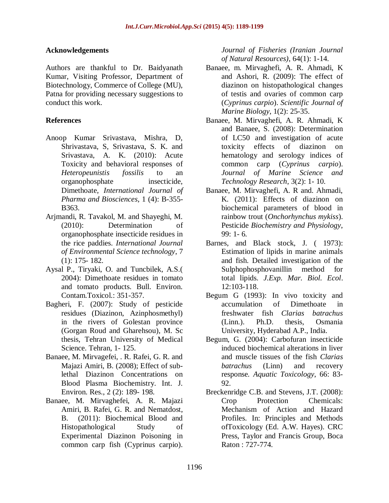### **Acknowledgements**

Authors are thankful to Dr. Baidyanath Kumar, Visiting Professor, Department of Biotechnology, Commerce of College (MU), Patna for providing necessary suggestions to conduct this work.

### **References**

- Anoop Kumar Srivastava, Mishra, D, Shrivastava, S, Srivastava, S. K. and Srivastava, A. K. (2010): Acute Toxicity and behavioral responses of *Heteropeunistis fossilis* to an organophosphate insecticide, Dimethoate, *International Journal of Pharma and Biosciences*, 1 (4): B-355- B363.
- Arjmandi, R. Tavakol, M. and Shayeghi, M. (2010): Determination of organophosphate insecticide residues in the rice paddies. *International Journal of Environmental Science technology*, 7 (1): 175- 182.
- Aysal P., Tiryaki, O. and Tuncbilek, A.S.( 2004): Dimethoate residues in tomato and tomato products. Bull. Environ. Contam.Toxicol.: 351-357.
- Bagheri, F. (2007): Study of pesticide residues (Diazinon, Azinphosmethyl) in the rivers of Golestan province (Gorgan Roud and Gharehsou), M. Sc thesis, Tehran University of Medical Science. Tehran, 1- 125.
- Banaee, M. Mirvagefei, . R. Rafei, G. R. and Majazi Amiri, B. (2008); Effect of sublethal Diazinon Concentrations on Blood Plasma Biochemistry. Int. J. Environ. Res., 2 (2): 189- 198.
- Banaee, M. Mirvaghefei, A. R. Majazi Amiri, B. Rafei, G. R. and Nematdost, B. (2011): Biochemical Blood and Histopathological Study of Experimental Diazinon Poisoning in common carp fish (Cyprinus carpio).

*Journal of Fisheries (Iranian Journal of Natural Resources)*, 64(1): 1-14.

- Banaee, m. Mirvaghefi, A. R. Ahmadi, K and Ashori, R. (2009): The effect of diazinon on histopathological changes of testis and ovaries of common carp (*Cyprinus carpio*). *Scientific Journal of Marine Biology*, 1(2): 25-35.
- Banaee, M. Mirvaghefi, A. R. Ahmadi, K and Banaee, S. (2008): Determination of LC50 and investigation of acute toxicity effects of diazinon on hematology and serology indices of common carp (*Cyprinus carpio*). *Journal of Marine Science and Technology Research*, 3(2): 1- 10.
- Banaee, M. Mirvaghefi, A. R and. Ahmadi, K. (2011): Effects of diazinon on biochemical parameters of blood in rainbow trout (*Onchorhynchus mykiss*). Pesticide *Biochemistry and Physiology*, 99: 1- 6.
- Barnes, and Black stock, J. ( 1973): Estimation of lipids in marine animals and fish. Detailed investigation of the Sulphophosphovanillin method for total lipids. *J.Exp. Mar. Biol. Ecol*. 12:103-118.
- Begum G (1993): In vivo toxicity and accumulation of Dimethoate in freshwater fish *Clarias batrachus*  (Linn.). Ph.D. thesis, Osmania University, Hyderabad A.P., India.
- Begum, G. (2004): Carbofuran insecticide induced biochemical alterations in liver and muscle tissues of the fish *Clarias batrachus* (Linn) and recovery response*. Aquatic Toxicology*, 66: 83- 92.
- Breckenridge C.B. and Stevens, J.T. (2008): Crop Protection Chemicals: Mechanism of Action and Hazard Profiles. In: Principles and Methods ofToxicology (Ed. A.W. Hayes). CRC Press, Taylor and Francis Group, Boca Raton : 727-774.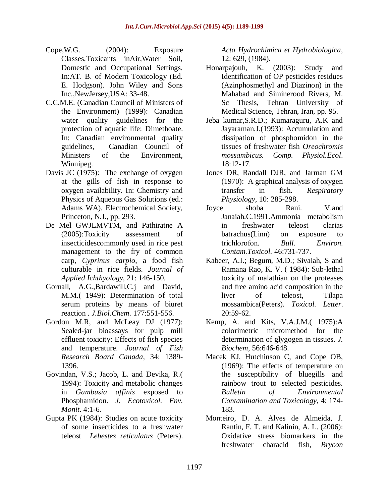- Cope,W.G. (2004): Exposure Classes,Toxicants inAir,Water Soil, Domestic and Occupational Settings. In:AT. B. of Modern Toxicology (Ed. E. Hodgson). John Wiley and Sons Inc.,NewJersey,USA: 33-48.
- C.C.M.E. (Canadian Council of Ministers of the Environment) (1999): Canadian water quality guidelines for the protection of aquatic life: Dimethoate. In: Canadian environmental quality guidelines, Canadian Council of Ministers of the Environment, Winnipeg.
- Davis JC (1975): The exchange of oxygen at the gills of fish in response to oxygen availability. In: Chemistry and Physics of Aqueous Gas Solutions (ed.: Adams WA). Electrochemical Society, Princeton, N.J., pp. 293.
- De Mel GWJLMVTM, and Pathiratne A (2005):Toxicity assessment of insecticidescommonly used in rice pest management to the fry of common carp, *Cyprinus carpio*, a food fish culturable in rice fields. *Journal of Applied Ichthyology*, 21: 146-150.
- Gornall, A.G.,Bardawill,C.j and David, M.M.( 1949): Determination of total serum proteins by means of biuret reaction . *J.Biol.Chem*. 177:551-556.
- Gordon M.R, and McLeay DJ (1977): Sealed-jar bioassays for pulp mill effluent toxicity: Effects of fish species and temperature. *Journal of Fish Research Board Canada*, 34: 1389- 1396.
- Govindan, V.S.; Jacob, L. and Devika, R.( 1994): Toxicity and metabolic changes in *Gambusia affinis* exposed to Phosphamidon. *J. Ecotoxicol. Env. Monit*. 4:1-6.
- Gupta PK (1984): Studies on acute toxicity of some insecticides to a freshwater teleost *Lebestes reticulatus* (Peters).

*Acta Hydrochimica et Hydrobiologica*, 12: 629, (1984).

- Honarpajouh, K. (2003): Study and Identification of OP pesticides residues (Azinphosmethyl and Diazinon) in the Mahabad and Siminerood Rivers, M. Sc Thesis, Tehran University of Medical Science, Tehran, Iran, pp. 95.
- Jeba kumar,S.R.D.; Kumaraguru, A.K and Jayaraman.J.(1993): Accumulation and dissipation of phosphomidon in the tissues of freshwater fish *Oreochromis mossambicus. Comp. Physiol.Ecol*. 18:12-17.
- Jones DR, Randall DJR, and Jarman GM (1970): A graphical analysis of oxygen transfer in fish. *Respiratory Physiology*, 10: 285-298.
- Joyce shoba Rani. V.and Janaiah.C.1991.Ammonia metabolism in freshwater teleost clarias batrachus(Linn) on exposure to trichlorofon. *Bull. Environ. Contam.Toxicol.* 46:731-737.
- Kabeer, A.I.; Begum, M.D.; Sivaiah, S and Ramana Rao, K. V. ( 1984): Sub-lethal toxicity of malathian on the proteases and free amino acid composition in the liver of teleost, Tilapa mossambica(Peters). *Toxicol. Letter*. 20:59-62.
- Kemp, A. and Kits, V.A.J.M.( 1975):A colorimetric micromethod for the determination of glygogen in tissues. *J. Biochem*, 56:646-648.
- Macek KJ, Hutchinson C, and Cope OB, (1969): The effects of temperature on the susceptibility of bluegills and rainbow trout to selected pesticides. *Bulletin of Environmental Contamination and Toxicology*, 4: 174- 183.
- Monteiro, D. A. Alves de Almeida, J. Rantin, F. T. and Kalinin, A. L. (2006): Oxidative stress biomarkers in the freshwater characid fish, *Brycon*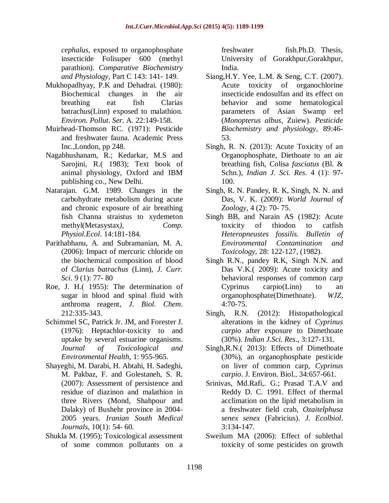*cephalus*, exposed to organophosphate insecticide Folisuper 600 (methyl parathion). *Comparative Biochemistry and Physiology*, Part C 143: 141- 149.

- Mukhopadhyay, P.K and Dehadrai. (1980): Biochemical changes in the air breathing eat fish Clarias batrachus(Linn) exposed to malathion. *Environ. Pollut*. *Ser*. A. 22:149-158.
- Muirhead-Thomson RC. (1971): Pesticide and freshwater fauna. Academic Press Inc.,London, pp 248.
- Nagabhushanam, R.; Kedarkar, M.S and Sarojini, R.( 1983); Text book of animal physiology, Oxford and IBM publishing co., New Delhi.
- Natarajan. G.M. 1989. Changes in the carbohydrate metabolism during acute and chronic exposure of air breathing fish Channa straistus to xydemeton methyl(Metasystax*), Comp. Physiol.Ecol*. 14:181-184.
- Parithabhanu, A. and Subramanian, M. A. (2006): Impact of mercuric chloride on the biochemical composition of blood of *Clarius batrachus* (Linn), *J. Curr. Sci*. 9 (1): 77- 80
- Roe, J. H.( 1955): The determination of sugar in blood and spinal fluid with anthroma reagent, *J. Biol. Chem*. 212:335-343.
- Schimmel SC, Patrick Jr. JM, and Forester J. (1976): Heptachlor-toxicity to and uptake by several estuarine organisms. *Journal of Toxicological and Environmental Health*, 1: 955-965.
- Shayeghi, M. Darabi, H. Abtahi, H. Sadeghi, M. Pakbaz, F. and Golestaneh, S. R. (2007): Assessment of persistence and residue of diazinon and malathion in three Rivers (Mond, Shahpour and Dalaky) of Bushehr province in 2004- 2005 years. *Iranian South Medical Journals*, 10(1): 54- 60.
- Shukla M. (1995); Toxicological assessment of some common pollutants on a

freshwater fish.Ph.D. Thesis, University of Gorakhpur,Gorakhpur, India.

- Siang,H.Y. Yee, L.M. & Seng, C.T. (2007). Acute toxicity of organochlorine insecticide endosulfan and its effect on behavior and some hematological parameters of Asian Swamp eel (*Monopterus albus*, Zuiew). *Pesticide Biochemistry and physiology*, 89:46- 53.
- Singh, R. N. (2013): Acute Toxicity of an Organophosphate, Diethoate to an air breathing fish, Colisa *fasciatus* (Bl. & Schn.), *Indian J. Sci. Res*. 4 (1): 97- 100.
- Singh, R. N. Pandey, R. K, Singh, N. N. and Das, V. K. (2009): *World Journal of Zoology,* 4 (2): 70- 75.
- Singh BB, and Narain AS (1982): Acute toxicity of thiodon to catfish *Heteropneustes fossilis. Bulletin of Environmental Contamination and Toxicology*, 28: 122-127, (1982).
- Singh R.N., pandey R.K, Singh N.N. and Das V.K.( 2009): Acute toxicity and behavioral responses of common carp Cyprinus carpio(Linn) to an organophosphate(Dimethoate). *WJZ*, 4:70-75.
- Singh, R.N. (2012): Histopathological alterations in the kidney of *Cyprinus carpio* after exposure to Dimethoate (30%). *Indian J.Sci. Res*., 3:127-131.
- Singh,R.N.( 2013): Effects of Dimethoate (30%), an organophosphate pesticide on liver of common carp, *Cyprinus carpio*. J. Environ. Biol., 34:657-661.
- Srinivas, Md.Rafi,. G.; Prasad T.A.V and Reddy D. C. 1991. Effect of thermal acclimation on the lipid metabolism in a freshwater field crab, *Ozaitelphusa senex senex* (Fabricius). *J. Ecolbiol*. 3:134-147.
- Sweilum MA (2006): Effect of sublethal toxicity of some pesticides on growth